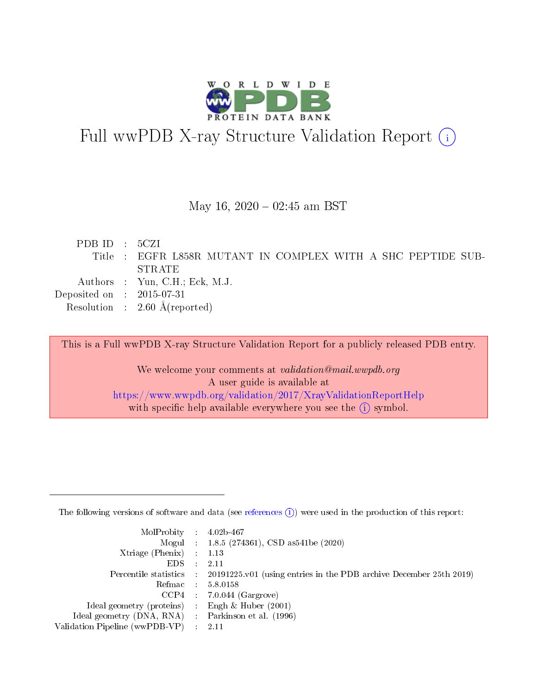

# Full wwPDB X-ray Structure Validation Report (i)

#### May 16,  $2020 - 02:45$  am BST

| PDBID : 5CZI                |                                                              |
|-----------------------------|--------------------------------------------------------------|
|                             | Title : EGFR L858R MUTANT IN COMPLEX WITH A SHC PEPTIDE SUB- |
|                             | -STRATE                                                      |
|                             | Authors : Yun, C.H.; Eck, M.J.                               |
| Deposited on : $2015-07-31$ |                                                              |
|                             | Resolution : $2.60 \text{ Å}$ (reported)                     |

This is a Full wwPDB X-ray Structure Validation Report for a publicly released PDB entry.

We welcome your comments at validation@mail.wwpdb.org A user guide is available at <https://www.wwpdb.org/validation/2017/XrayValidationReportHelp> with specific help available everywhere you see the  $(i)$  symbol.

The following versions of software and data (see [references](https://www.wwpdb.org/validation/2017/XrayValidationReportHelp#references)  $(1)$ ) were used in the production of this report:

| $MolProbability$ : 4.02b-467                      |                              |                                                                                            |
|---------------------------------------------------|------------------------------|--------------------------------------------------------------------------------------------|
|                                                   |                              | Mogul : $1.8.5$ (274361), CSD as 541be (2020)                                              |
| Xtriage (Phenix) $: 1.13$                         |                              |                                                                                            |
| EDS –                                             | $\sim$                       | -2.11                                                                                      |
|                                                   |                              | Percentile statistics : 20191225.v01 (using entries in the PDB archive December 25th 2019) |
| Refmac : 5.8.0158                                 |                              |                                                                                            |
| CCP4                                              |                              | $7.0.044$ (Gargrove)                                                                       |
| Ideal geometry (proteins)                         | $\mathcal{L}_{\mathrm{eff}}$ | Engh & Huber $(2001)$                                                                      |
| Ideal geometry (DNA, RNA) Parkinson et al. (1996) |                              |                                                                                            |
| Validation Pipeline (wwPDB-VP) : 2.11             |                              |                                                                                            |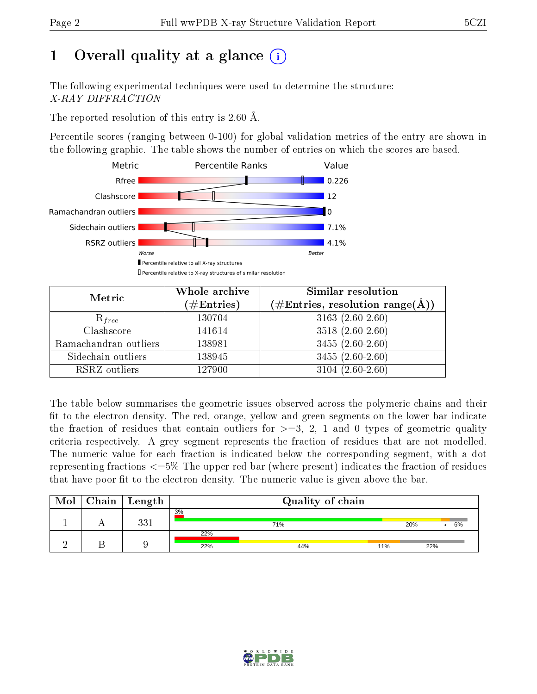# 1 [O](https://www.wwpdb.org/validation/2017/XrayValidationReportHelp#overall_quality)verall quality at a glance  $(i)$

The following experimental techniques were used to determine the structure: X-RAY DIFFRACTION

The reported resolution of this entry is 2.60 Å.

Percentile scores (ranging between 0-100) for global validation metrics of the entry are shown in the following graphic. The table shows the number of entries on which the scores are based.



| Metric                | Whole archive        | Similar resolution                                                     |
|-----------------------|----------------------|------------------------------------------------------------------------|
|                       | $(\#\text{Entries})$ | $(\#\text{Entries},\,\text{resolution}\,\,\text{range}(\textup{\AA}))$ |
| $R_{free}$            | 130704               | $3163(2.60-2.60)$                                                      |
| Clashscore            | 141614               | $3518(2.60-2.60)$                                                      |
| Ramachandran outliers | 138981               | $\overline{3455}$ $(2.60-2.60)$                                        |
| Sidechain outliers    | 138945               | $3455(2.60-2.60)$                                                      |
| RSRZ outliers         | 127900               | $3104(2.60-2.60)$                                                      |

The table below summarises the geometric issues observed across the polymeric chains and their fit to the electron density. The red, orange, yellow and green segments on the lower bar indicate the fraction of residues that contain outliers for  $>=3, 2, 1$  and 0 types of geometric quality criteria respectively. A grey segment represents the fraction of residues that are not modelled. The numeric value for each fraction is indicated below the corresponding segment, with a dot representing fractions  $\epsilon=5\%$  The upper red bar (where present) indicates the fraction of residues that have poor fit to the electron density. The numeric value is given above the bar.

| Mol | Chain   Length | Quality of chain |     |     |     |  |    |
|-----|----------------|------------------|-----|-----|-----|--|----|
|     | ດດ 1           | 3%               | 71% |     | 20% |  | 6% |
|     |                | 22%<br>22%       | 44% | 11% | 22% |  |    |

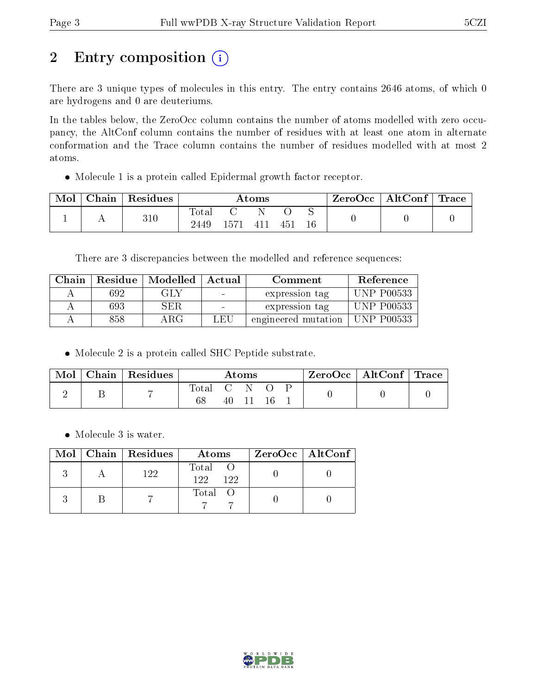# 2 Entry composition (i)

There are 3 unique types of molecules in this entry. The entry contains 2646 atoms, of which 0 are hydrogens and 0 are deuteriums.

In the tables below, the ZeroOcc column contains the number of atoms modelled with zero occupancy, the AltConf column contains the number of residues with at least one atom in alternate conformation and the Trace column contains the number of residues modelled with at most 2 atoms.

Molecule 1 is a protein called Epidermal growth factor receptor.

| Mol | Chain | Residues | Atoms                    |      |       |              | ZeroOcc | $\mid$ AltConf $\mid$ Trace $\mid$ |  |  |
|-----|-------|----------|--------------------------|------|-------|--------------|---------|------------------------------------|--|--|
|     |       | 310      | $\mathrm{Tota}.$<br>2449 | 1571 | 4 L L | $45^{\circ}$ |         |                                    |  |  |

There are 3 discrepancies between the modelled and reference sequences:

| Chain |     | Residue   Modelled   Actual |     | Comment             | Reference         |
|-------|-----|-----------------------------|-----|---------------------|-------------------|
|       | 692 | GLY                         |     | expression tag      | <b>UNP P00533</b> |
|       | 693 | SER.                        |     | expression tag      | <b>UNP P00533</b> |
|       | 858 | ARG                         | LEU | engineered mutation | <b>UNP P00533</b> |

Molecule 2 is a protein called SHC Peptide substrate.

| Mol | Chain   Residues | $\rm{Atoms}$ |    |  | ZeroOcc   AltConf   Trace |  |  |  |
|-----|------------------|--------------|----|--|---------------------------|--|--|--|
|     |                  | Total<br>68  | 40 |  |                           |  |  |  |

• Molecule 3 is water.

|  | $Mol$   Chain   Residues | Atoms                  | $\rm ZeroOcc \mid AltConf \mid$ |
|--|--------------------------|------------------------|---------------------------------|
|  | 122                      | Total O<br>122.<br>122 |                                 |
|  |                          | Total O                |                                 |

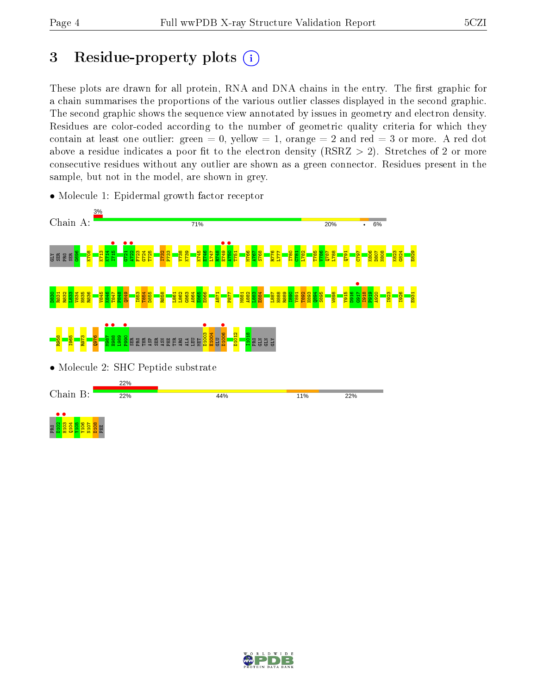# 3 Residue-property plots  $(i)$

These plots are drawn for all protein, RNA and DNA chains in the entry. The first graphic for a chain summarises the proportions of the various outlier classes displayed in the second graphic. The second graphic shows the sequence view annotated by issues in geometry and electron density. Residues are color-coded according to the number of geometric quality criteria for which they contain at least one outlier: green  $= 0$ , yellow  $= 1$ , orange  $= 2$  and red  $= 3$  or more. A red dot above a residue indicates a poor fit to the electron density (RSRZ  $> 2$ ). Stretches of 2 or more consecutive residues without any outlier are shown as a green connector. Residues present in the sample, but not in the model, are shown in grey.



• Molecule 1: Epidermal growth factor receptor

D108 PHE

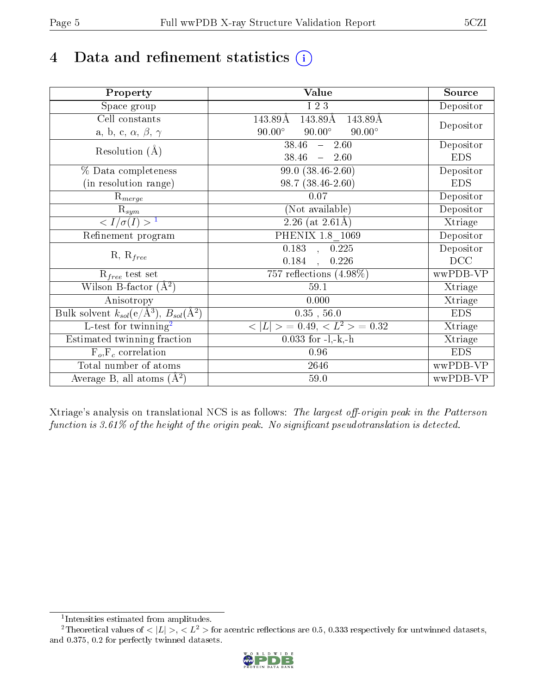# 4 Data and refinement statistics  $(i)$

| Property                                                             | Value                                           | Source     |
|----------------------------------------------------------------------|-------------------------------------------------|------------|
| Space group                                                          | I 2 3                                           | Depositor  |
| Cell constants                                                       | $143.89\text{\AA}$<br>143.89Å<br>143.89Å        |            |
| a, b, c, $\alpha$ , $\beta$ , $\gamma$                               | $90.00^\circ$<br>$90.00^\circ$<br>$90.00^\circ$ | Depositor  |
| Resolution $(A)$                                                     | $\overline{38.46}$ - 2.60                       | Depositor  |
|                                                                      | 38.46<br>$-2.60$                                | <b>EDS</b> |
| % Data completeness                                                  | 99.0 (38.46-2.60)                               | Depositor  |
| (in resolution range)                                                | $98.7(38.46-2.60)$                              | <b>EDS</b> |
| $R_{merge}$                                                          | 0.07                                            | Depositor  |
| $\mathrm{R}_{sym}$                                                   | (Not available)                                 | Depositor  |
| $\overline{1$                                                        | 2.26 (at $2.61\text{\AA}$ )                     | Xtriage    |
| Refinement program                                                   | PHENIX 1.8 1069                                 | Depositor  |
|                                                                      | $\overline{0.183}$ ,<br>0.225                   | Depositor  |
| $R, R_{free}$                                                        | 0.184<br>0.226<br>$\overline{a}$                | DCC        |
| $R_{free}$ test set                                                  | 757 reflections $(4.98\%)$                      | wwPDB-VP   |
| Wilson B-factor $(A^2)$                                              | 59.1                                            | Xtriage    |
| Anisotropy                                                           | 0.000                                           | Xtriage    |
| Bulk solvent $k_{sol}(e/\mathring{A}^3)$ , $B_{sol}(\mathring{A}^2)$ | $0.35$ , $56.0$                                 | <b>EDS</b> |
| $\overline{L-test for}$ twinning <sup>2</sup>                        | $< L >$ = 0.49, $< L2$ = 0.32                   | Xtriage    |
| Estimated twinning fraction                                          | $0.033$ for $-l,-k,-h$                          | Xtriage    |
| $F_o, F_c$ correlation                                               | 0.96                                            | <b>EDS</b> |
| Total number of atoms                                                | 2646                                            | wwPDB-VP   |
| Average B, all atoms $(A^2)$                                         | 59.0                                            | wwPDB-VP   |

Xtriage's analysis on translational NCS is as follows: The largest off-origin peak in the Patterson function is  $3.61\%$  of the height of the origin peak. No significant pseudotranslation is detected.

<sup>&</sup>lt;sup>2</sup>Theoretical values of  $\langle |L| \rangle$ ,  $\langle L^2 \rangle$  for acentric reflections are 0.5, 0.333 respectively for untwinned datasets, and 0.375, 0.2 for perfectly twinned datasets.



<span id="page-4-1"></span><span id="page-4-0"></span><sup>1</sup> Intensities estimated from amplitudes.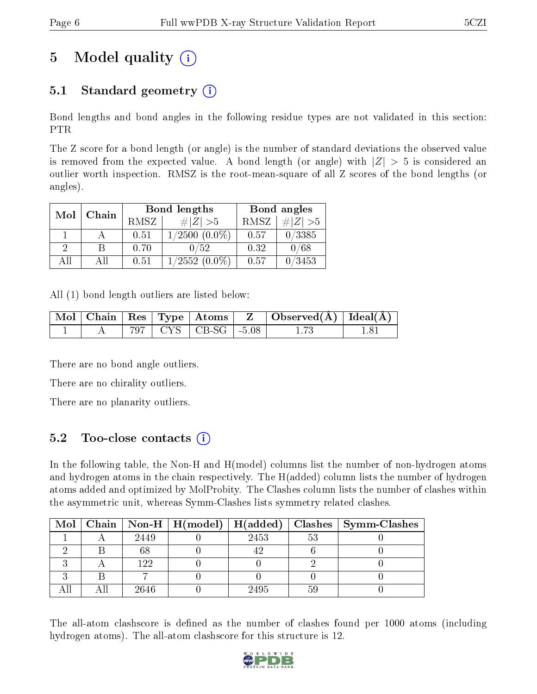# 5 Model quality  $(i)$

## 5.1 Standard geometry  $(i)$

Bond lengths and bond angles in the following residue types are not validated in this section: PTR

The Z score for a bond length (or angle) is the number of standard deviations the observed value is removed from the expected value. A bond length (or angle) with  $|Z| > 5$  is considered an outlier worth inspection. RMSZ is the root-mean-square of all Z scores of the bond lengths (or angles).

| Mol | Chain |      | Bond lengths       | Bond angles |           |  |
|-----|-------|------|--------------------|-------------|-----------|--|
|     |       | RMSZ | # Z  > 5           | RMSZ        | # $ Z >5$ |  |
|     |       | 0.51 | $1/2500$ $(0.0\%)$ | 0.57        | 0/3385    |  |
| 9   | B     | 0.70 | 0/52               | 0.32        | 0/68      |  |
| AП  | Αll   | 0.51 | $1/2552(0.0\%)$    | 0.57        | 0/3453    |  |

All (1) bond length outliers are listed below:

|  |  |                             | $\mid$ Mol $\mid$ Chain $\mid$ Res $\mid$ Type $\mid$ Atoms $\mid$ $\mid$ Z $\mid$ Observed(A) $\mid$ Ideal(A) $\mid$ |  |
|--|--|-----------------------------|-----------------------------------------------------------------------------------------------------------------------|--|
|  |  | $797$   CYS   CB-SG   -5.08 |                                                                                                                       |  |

There are no bond angle outliers.

There are no chirality outliers.

There are no planarity outliers.

### 5.2 Too-close contacts (i)

In the following table, the Non-H and H(model) columns list the number of non-hydrogen atoms and hydrogen atoms in the chain respectively. The H(added) column lists the number of hydrogen atoms added and optimized by MolProbity. The Clashes column lists the number of clashes within the asymmetric unit, whereas Symm-Clashes lists symmetry related clashes.

|  |      |      |             | Mol   Chain   Non-H   H(model)   H(added)   Clashes   Symm-Clashes |
|--|------|------|-------------|--------------------------------------------------------------------|
|  | 2449 | 2453 | $5^{\circ}$ |                                                                    |
|  |      |      |             |                                                                    |
|  | 199  |      |             |                                                                    |
|  |      |      |             |                                                                    |
|  | 2646 | 2495 |             |                                                                    |

The all-atom clashscore is defined as the number of clashes found per 1000 atoms (including hydrogen atoms). The all-atom clashscore for this structure is 12.

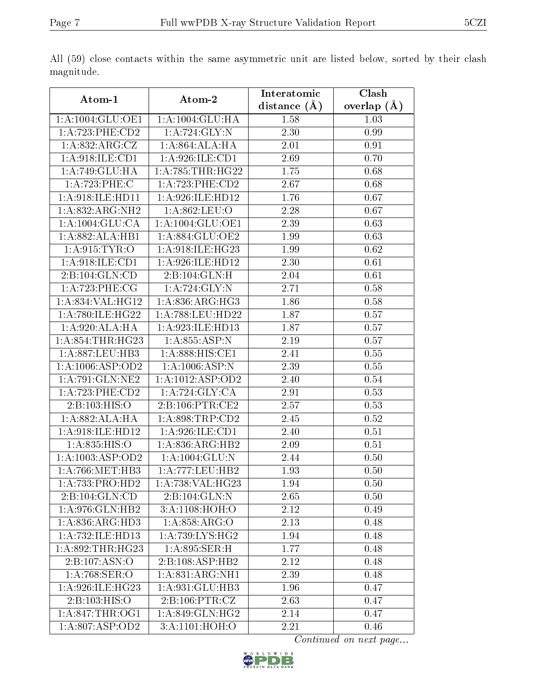|                               |                     | Interatomic       | Clash         |
|-------------------------------|---------------------|-------------------|---------------|
| Atom-1                        | Atom-2              | distance $(A)$    | overlap $(A)$ |
| 1:A:1004:GLU:OE1              | 1: A: 1004: GLU: HA | 1.58              | 1.03          |
| 1:A:723:PHE:CD2               | 1: A:724: GLY:N     | 2.30              | 0.99          |
| 1:A:832:ARG:CZ                | 1:A:864:ALA:HA      | 2.01              | 0.91          |
| 1: A:918: ILE: CD1            | 1:A:926:ILE:CD1     | 2.69              | 0.70          |
| 1:A:749:GLU:HA                | 1: A:785:THR:HG22   | 1.75              | 0.68          |
| 1:A:723:PHE:C                 | 1: A: 723: PHE: CD2 | $\overline{2.67}$ | 0.68          |
| 1:A:918:ILE:HD11              | 1: A:926: ILE: HD12 | 1.76              | 0.67          |
| 1:A:832:ARG:NH2               | 1:A:862:LEU:O       | 2.28              | 0.67          |
| 1: A: 1004: GLU: CA           | 1:A:1004:GLU:OE1    | 2.39              | 0.63          |
| 1:A:882:ALA:HB1               | 1:A:884:GLU:OE2     | 1.99              | 0.63          |
| 1: A.915: TYR: O              | 1: A:918: ILE: HG23 | 1.99              | 0.62          |
| 1:A:918:ILE:CD1               | 1:A:926:ILE:HD12    | 2.30              | 0.61          |
| 2:B:104:GLN:CD                | 2:B:104:GLN:H       | 2.04              | 0.61          |
| 1:A:723:PHE:CG                | 1:A:724:GLY:N       | 2.71              | 0.58          |
| 1:A:834:VAL:HG12              | 1: A:836: ARG:HG3   | 1.86              | 0.58          |
| 1:A:780:ILE:HG22              | 1:A:788:LEU:HD22    | 1.87              | 0.57          |
| 1: A:920:ALA:HA               | 1: A:923: ILE:HD13  | 1.87              | 0.57          |
| 1: A:854:THR:HG23             | 1: A:855: ASP:N     | 2.19              | 0.57          |
| 1: A:887:LEU:HB3              | 1:A:888:HIS:CE1     | 2.41              | 0.55          |
| 1: A: 1006: ASP: OD2          | 1:A:1006:ASP:N      | 2.39              | 0.55          |
| 1: A:791: GLN: NE2            | 1:A:1012:ASP:OD2    | 2.40              | 0.54          |
| 1:A:723:PHE:CD2               | 1: A:724: GLY: CA   | 2.91              | 0.53          |
| 2: B: 103: HIS: O             | 2: B: 106: PTR: CE2 | 2.57              | 0.53          |
| 1:A:882:ALA:HA                | 1: A:898:TRP:CD2    | 2.45              | 0.52          |
| 1:A:918:ILE:HD12              | 1:A:926:ILE:CD1     | 2.40              | 0.51          |
| 1:A:835:HIS:O                 | 1: A:836: ARG:HB2   | 2.09              | 0.51          |
| 1:A:1003:ASP:OD2              | 1:A:1004:GLU:N      | 2.44              | 0.50          |
| 1: A:766:MET:HB3              | 1:A:777:LEU:HB2     | 1.93              | 0.50          |
| 1:A:733:PRO:HD2               | 1:A:738:VAL:HG23    | 1.94              | $0.50\,$      |
| 2:B:104:GLN:CD                | 2:B:104:GLN:N       | 2.65              | 0.50          |
| 1:A:976:GLN:HB2               | 3:A:1108:HOH:O      | 2.12              | 0.49          |
| 1: A:836: ARG:HD3             | 1:A.858:ARG:O       | 2.13              | 0.48          |
| $1:A:732:I\overline{LE:HD13}$ | 1:A:739:LYS:HG2     | 1.94              | 0.48          |
| 1: A:892:THR:HG23             | 1:A:895:SER:H       | 1.77              | 0.48          |
| 2:B:107:ASN:O                 | 2:B:108:ASP:HB2     | 2.12              | 0.48          |
| $1: A:768:$ SER:O             | 1: A:831: ARG:NH1   | 2.39              | 0.48          |
| 1: A:926: ILE: HG23           | 1:A:931:GLU:HB3     | 1.96              | 0.47          |
| 2: B: 103: HIS: O             | 2: B: 106: PTR: CZ  | 2.63              | 0.47          |
| 1: A:847:THR:OG1              | 1: A:849: GLN: HG2  | 2.14              | 0.47          |
| 1: A:807: ASP:OD2             | 3:A:1101:HOH:O      | 2.21              | 0.46          |

All (59) close contacts within the same asymmetric unit are listed below, sorted by their clash magnitude.

Continued on next page...

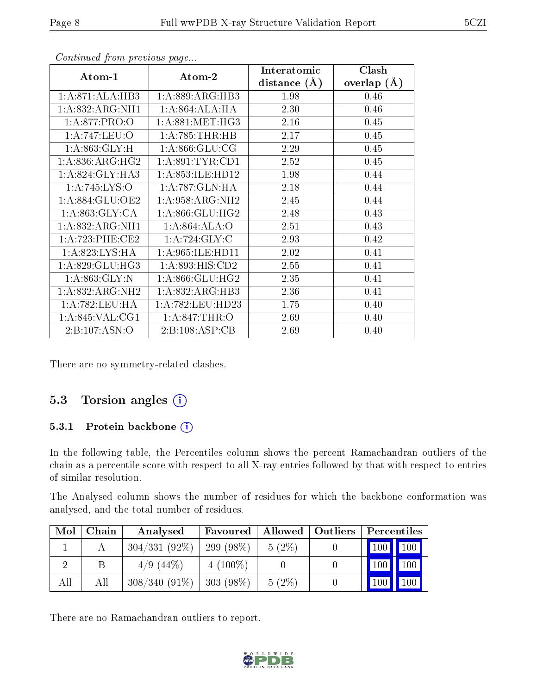| Atom-1            | Atom-2              | Interatomic    | Clash         |
|-------------------|---------------------|----------------|---------------|
|                   |                     | distance $(A)$ | overlap $(A)$ |
| 1:A:871:ALA:HB3   | 1:A:889:ARG:HB3     | 1.98           | 0.46          |
| 1:A:832:ARG:NH1   | 1:A:864:ALA:HA      | 2.30           | 0.46          |
| 1: A:877: PRO:O   | 1: A:881: MET:HG3   | 2.16           | 0.45          |
| 1: A:747:LEU:O    | 1: A:785:THR:HB     | 2.17           | 0.45          |
| 1: A:863: GLY: H  | 1: A:866: GLU:CG    | 2.29           | 0.45          |
| 1: A:836:ARG:HG2  | 1: A:891:TYR:CD1    | 2.52           | 0.45          |
| 1: A:824: GLY:HA3 | 1:A:853:ILE:HD12    | 1.98           | 0.44          |
| 1:A:745:LYS:O     | 1: A:787: GLN: HA   | 2.18           | 0.44          |
| 1: A:884: GLU:OE2 | 1: A:958: ARG: NH2  | 2.45           | 0.44          |
| 1: A:863: GLY:CA  | 1: A:866: GLU:HG2   | 2.48           | 0.43          |
| 1: A:832: ARG:NH1 | 1:A:864:ALA:O       | 2.51           | 0.43          |
| 1: A:723:PHE:CE2  | 1:A:724:GLY:C       | 2.93           | 0.42          |
| 1: A:823: LYS: HA | 1: A:965: ILE: HD11 | 2.02           | 0.41          |
| 1: A:829: GLU:HG3 | 1: A:893: HIS: CD2  | 2.55           | 0.41          |
| 1: A:863: GLY:N   | 1: A:866: GLU:HG2   | 2.35           | 0.41          |
| 1:A:832:ARG:NH2   | 1:A:832:ARG:HB3     | 2.36           | 0.41          |
| 1: A:782:LEU:HA   | 1: A:782:LEU:HD23   | 1.75           | 0.40          |
| 1: A:845: VAL:CG1 | 1: A:847:THR:O      | 2.69           | 0.40          |
| 2: B: 107: ASN:O  | 2:B:108:ASP:CB      | 2.69           | 0.40          |

Continued from previous page...

There are no symmetry-related clashes.

#### 5.3 Torsion angles (i)

#### 5.3.1 Protein backbone (i)

In the following table, the Percentiles column shows the percent Ramachandran outliers of the chain as a percentile score with respect to all X-ray entries followed by that with respect to entries of similar resolution.

The Analysed column shows the number of residues for which the backbone conformation was analysed, and the total number of residues.

| Mol | Chain | Analysed        | Favoured    |          | Allowed   Outliers | Percentiles                  |
|-----|-------|-----------------|-------------|----------|--------------------|------------------------------|
|     |       | $304/331(92\%)$ | $299(98\%)$ | $5(2\%)$ |                    | $\mid$ 100 $\mid$ 100 $\mid$ |
|     |       | $4/9(44\%)$     | $4(100\%)$  |          |                    | 100<br>$ 100\rangle$         |
| All | All   | $308/340(91\%)$ | $303(98\%)$ | $5(2\%)$ |                    | 100 <sub>l</sub><br>100      |

There are no Ramachandran outliers to report.

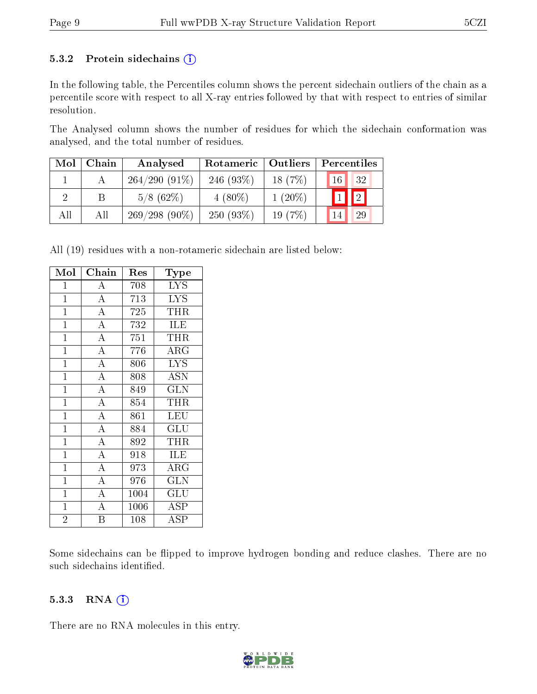#### 5.3.2 Protein sidechains  $(i)$

In the following table, the Percentiles column shows the percent sidechain outliers of the chain as a percentile score with respect to all X-ray entries followed by that with respect to entries of similar resolution.

The Analysed column shows the number of residues for which the sidechain conformation was analysed, and the total number of residues.

| Mol | Chain | Analysed        | Rotameric   Outliers |           | Percentiles              |
|-----|-------|-----------------|----------------------|-----------|--------------------------|
|     |       | $264/290(91\%)$ | 246 $(93\%)$         | 18(7%)    | 32<br>16 <sup>°</sup>    |
|     |       | $5/8$ (62\%)    | $4(80\%)$            | $1(20\%)$ | $\mathbf{1}$ $\boxed{2}$ |
| All | All   | $269/298(90\%)$ | $250(93\%)$          | 19 $(7%)$ | 29                       |

All (19) residues with a non-rotameric sidechain are listed below:

| Mol            | ${\rm Chain}$      | Res  | Type                    |
|----------------|--------------------|------|-------------------------|
| $\mathbf{1}$   | А                  | 708  | <b>LYS</b>              |
| $\mathbf{1}$   | $\overline{A}$     | 713  | <b>LYS</b>              |
| $\mathbf{1}$   | $\overline{A}$     | 725  | THR                     |
| $\mathbf{1}$   | $\overline{A}$     | 732  | ILE                     |
| $\mathbf{1}$   | $\overline{A}$     | 751  | THR                     |
| $\mathbf{1}$   | $\overline{A}$     | 776  | <b>ARG</b>              |
| $\overline{1}$ | $\overline{A}$     | 806  | $\overline{\text{LYS}}$ |
| $\overline{1}$ | $\overline{\rm A}$ | 808  | <b>ASN</b>              |
| $\mathbf{1}$   | $\overline{A}$     | 849  | <b>GLN</b>              |
| $\mathbf{1}$   | $\overline{A}$     | 854  | THR                     |
| $\mathbf{1}$   | $\overline{A}$     | 861  | LEU                     |
| $\mathbf{1}$   | $\overline{A}$     | 884  | GLU                     |
| $\mathbf{1}$   | $\overline{A}$     | 892  | THR                     |
| $\overline{1}$ | $\overline{A}$     | 918  | <b>ILE</b>              |
| $\overline{1}$ | $\overline{A}$     | 973  | $\overline{\text{ARG}}$ |
| $\mathbf{1}$   | $\overline{\rm A}$ | 976  | GLN                     |
| $\mathbf{1}$   | $\overline{A}$     | 1004 | GLU                     |
| $\mathbf{1}$   | $\overline{\rm A}$ | 1006 | ASP                     |
| $\overline{2}$ | Β                  | 108  | $\overline{\rm ASP}$    |

Some sidechains can be flipped to improve hydrogen bonding and reduce clashes. There are no such sidechains identified.

#### 5.3.3 RNA (i)

There are no RNA molecules in this entry.

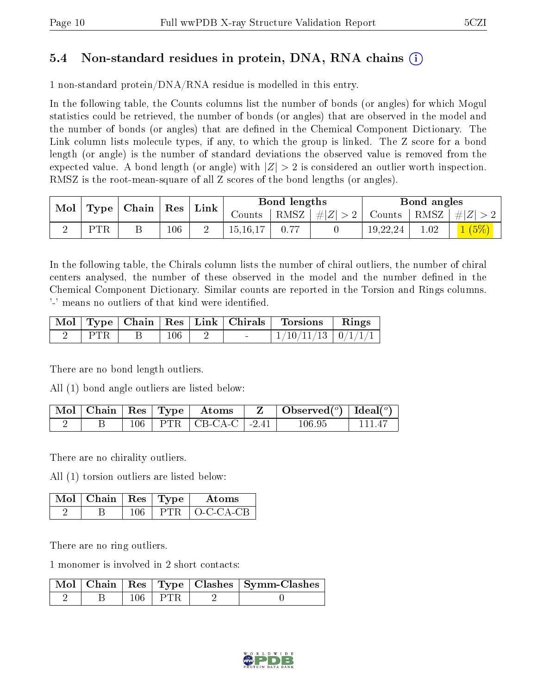### 5.4 Non-standard residues in protein, DNA, RNA chains (i)

1 non-standard protein/DNA/RNA residue is modelled in this entry.

In the following table, the Counts columns list the number of bonds (or angles) for which Mogul statistics could be retrieved, the number of bonds (or angles) that are observed in the model and the number of bonds (or angles) that are dened in the Chemical Component Dictionary. The Link column lists molecule types, if any, to which the group is linked. The Z score for a bond length (or angle) is the number of standard deviations the observed value is removed from the expected value. A bond length (or angle) with  $|Z| > 2$  is considered an outlier worth inspection. RMSZ is the root-mean-square of all Z scores of the bond lengths (or angles).

| Mol |     | $\mid$ Type $\mid$ Chain $\mid$ Res $\mid$ |         | $^+$ Link |                | Bond lengths |                                                              |          | Bond angles |                    |
|-----|-----|--------------------------------------------|---------|-----------|----------------|--------------|--------------------------------------------------------------|----------|-------------|--------------------|
|     |     |                                            |         |           | Counts $\perp$ |              | $\mid$ RMSZ $\mid \#  Z  > 2 \mid$ Counts $\mid$ RMSZ $\mid$ |          |             | $\vert \#  Z  > 2$ |
|     | PTR |                                            | $106\,$ |           | 15, 16, 17     |              |                                                              | 19,22,24 | 1.02        | 1(5%)              |

In the following table, the Chirals column lists the number of chiral outliers, the number of chiral centers analysed, the number of these observed in the model and the number defined in the Chemical Component Dictionary. Similar counts are reported in the Torsion and Rings columns. '-' means no outliers of that kind were identified.

|  |         |  | Mol   Type   Chain   Res   Link   Chirals   Torsions   Rings |  |
|--|---------|--|--------------------------------------------------------------|--|
|  | $106\,$ |  | $1/10/11/13$   $0/1/1/1$                                     |  |

There are no bond length outliers.

All (1) bond angle outliers are listed below:

|  |  | $\mid$ Mol $\mid$ Chain $\mid$ Res $\mid$ Type $\mid$ Atoms | $\perp$ Observed( $^o$ ) $\perp$ Ideal( $^o$ ) |  |
|--|--|-------------------------------------------------------------|------------------------------------------------|--|
|  |  | $106$   PTR   CB-CA-C   -2.41                               | 106.95                                         |  |

There are no chirality outliers.

All (1) torsion outliers are listed below:

| $\sqrt{\text{Mol}}$   Chain   Res   Type ' |      | Atoms     |
|--------------------------------------------|------|-----------|
|                                            | PTR. | O-C-CA-CB |

There are no ring outliers.

1 monomer is involved in 2 short contacts:

|  |         | Mol   Chain   Res   Type   Clashes   Symm-Clashes |
|--|---------|---------------------------------------------------|
|  | 106 FTR |                                                   |

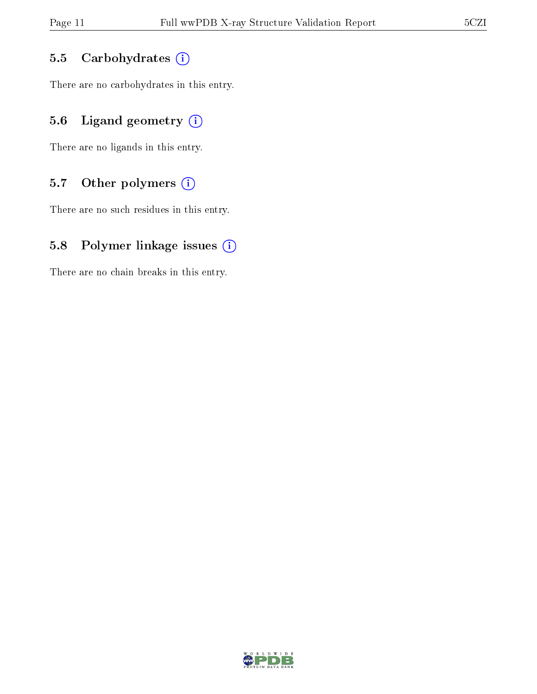#### 5.5 Carbohydrates (i)

There are no carbohydrates in this entry.

### 5.6 Ligand geometry  $(i)$

There are no ligands in this entry.

### 5.7 [O](https://www.wwpdb.org/validation/2017/XrayValidationReportHelp#nonstandard_residues_and_ligands)ther polymers  $(i)$

There are no such residues in this entry.

#### 5.8 Polymer linkage issues  $(i)$

There are no chain breaks in this entry.

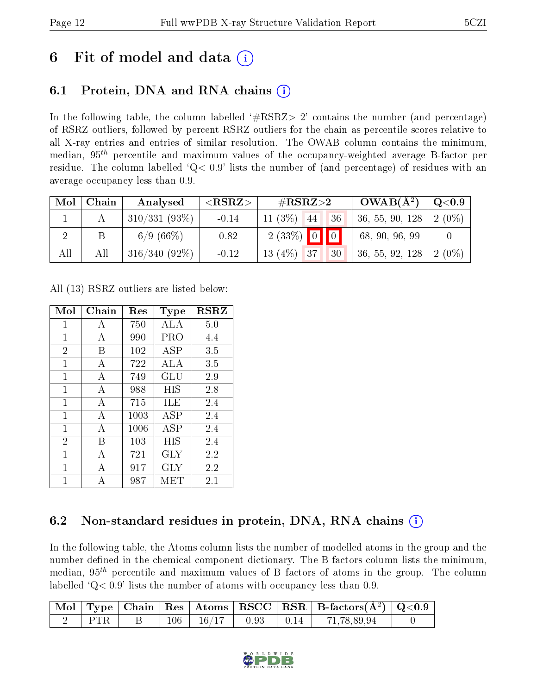## 6 Fit of model and data  $(i)$

## 6.1 Protein, DNA and RNA chains (i)

In the following table, the column labelled  $#RSRZ>2'$  contains the number (and percentage) of RSRZ outliers, followed by percent RSRZ outliers for the chain as percentile scores relative to all X-ray entries and entries of similar resolution. The OWAB column contains the minimum, median,  $95<sup>th</sup>$  percentile and maximum values of the occupancy-weighted average B-factor per residue. The column labelled  $Q< 0.9$  lists the number of (and percentage) of residues with an average occupancy less than 0.9.

| Mol | Chain | Analysed        | $<$ RSRZ $>$ | $\#\text{RSRZ}\text{>2}$ | $OWAB(A^2)$     | $\mathrm{Q}{<}0.9$ |
|-----|-------|-----------------|--------------|--------------------------|-----------------|--------------------|
|     |       | $310/331(93\%)$ | $-0.14$      | $11(3\%)$<br>36<br>44    | 36, 55, 90, 128 | $2(0\%)$           |
|     |       | 6/9(66%)        | 0.82         | $2(33\%)$ 0 0            | 68, 90, 96, 99  |                    |
| All | All   | $316/340(92\%)$ | $-0.12$      | $13(4\%)$ 37<br>30       | 36, 55, 92, 128 | 2 (0\%)            |

All (13) RSRZ outliers are listed below:

| Mol            | Chain | Res  | Type       | <b>RSRZ</b> |
|----------------|-------|------|------------|-------------|
| $\mathbf{1}$   | А     | 750  | ALA        | 5.0         |
| $\mathbf{1}$   | А     | 990  | PRO        | 4.4         |
| $\overline{2}$ | В     | 102  | <b>ASP</b> | 3.5         |
| $\mathbf{1}$   | А     | 722  | ALA        | 3.5         |
| $\mathbf{1}$   | А     | 749  | GLU        | 2.9         |
| $\mathbf{1}$   | А     | 988  | HIS        | 2.8         |
| 1              | А     | 715  | ILE        | 2.4         |
| $\mathbf{1}$   | A     | 1003 | <b>ASP</b> | 2.4         |
| 1              | А     | 1006 | ASP        | 2.4         |
| $\overline{2}$ | В     | 103  | HIS        | 2.4         |
| $\mathbf{1}$   | A     | 721  | <b>GLY</b> | 2.2         |
| 1              | А     | 917  | GLY        | 2.2         |
| 1              | А     | 987  | MET        | 2.1         |

### 6.2 Non-standard residues in protein, DNA, RNA chains (i)

In the following table, the Atoms column lists the number of modelled atoms in the group and the number defined in the chemical component dictionary. The B-factors column lists the minimum, median,  $95<sup>th</sup>$  percentile and maximum values of B factors of atoms in the group. The column labelled  $Q< 0.9$ ' lists the number of atoms with occupancy less than 0.9.

|  |  |  | $\boxed{\text{ Mol}}$ Type   Chain   Res   Atoms   RSCC   RSR   B-factors( $\AA^2$ )   Q<0.9 |  |
|--|--|--|----------------------------------------------------------------------------------------------|--|
|  |  |  | $106$   $16/17$   0.93   0.14   71,78,89,94                                                  |  |